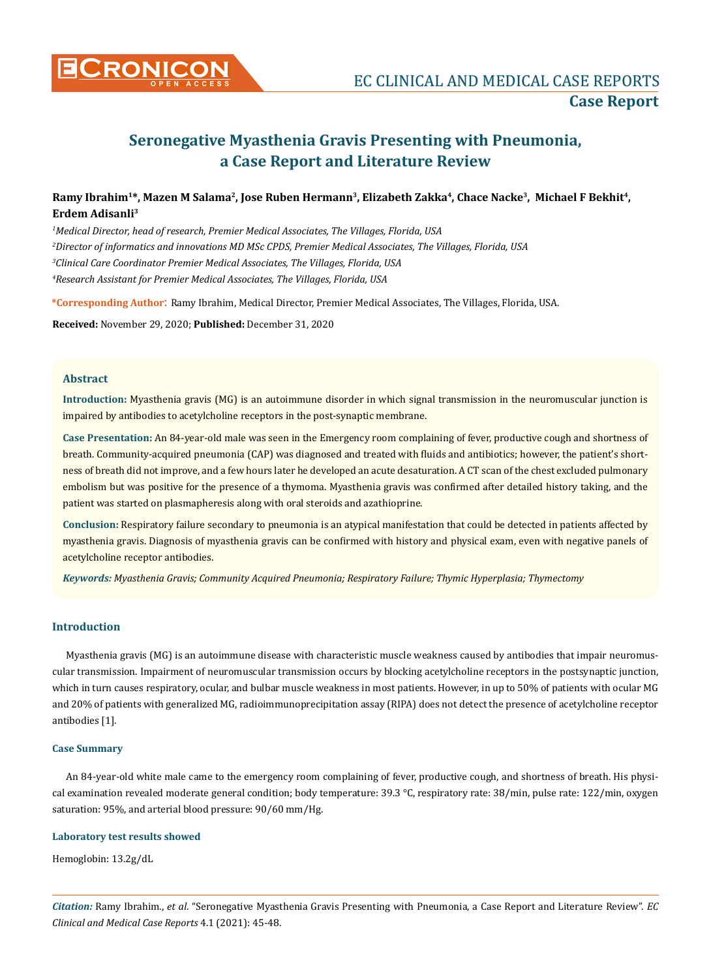

# **Seronegative Myasthenia Gravis Presenting with Pneumonia, a Case Report and Literature Review**

# Ramy Ibrahim<sup>1\*</sup>, Mazen M Salama<sup>2</sup>, Jose Ruben Hermann<sup>3</sup>, Elizabeth Zakka<sup>4</sup>, Chace Nacke<sup>3</sup>, Michael F Bekhit<sup>4</sup>, **Erdem Adisanli3**

 *Medical Director, head of research, Premier Medical Associates, The Villages, Florida, USA Director of informatics and innovations MD MSc CPDS, Premier Medical Associates, The Villages, Florida, USA Clinical Care Coordinator Premier Medical Associates, The Villages, Florida, USA Research Assistant for Premier Medical Associates, The Villages, Florida, USA* 

**\*Corresponding Author**: Ramy Ibrahim, Medical Director, Premier Medical Associates, The Villages, Florida, USA.

**Received:** November 29, 2020; **Published:** December 31, 2020

## **Abstract**

**Introduction:** Myasthenia gravis (MG) is an autoimmune disorder in which signal transmission in the neuromuscular junction is impaired by antibodies to acetylcholine receptors in the post-synaptic membrane.

**Case Presentation:** An 84-year-old male was seen in the Emergency room complaining of fever, productive cough and shortness of breath. Community-acquired pneumonia (CAP) was diagnosed and treated with fluids and antibiotics; however, the patient's shortness of breath did not improve, and a few hours later he developed an acute desaturation. A CT scan of the chest excluded pulmonary embolism but was positive for the presence of a thymoma. Myasthenia gravis was confirmed after detailed history taking, and the patient was started on plasmapheresis along with oral steroids and azathioprine.

**Conclusion:** Respiratory failure secondary to pneumonia is an atypical manifestation that could be detected in patients affected by myasthenia gravis. Diagnosis of myasthenia gravis can be confirmed with history and physical exam, even with negative panels of acetylcholine receptor antibodies.

*Keywords: Myasthenia Gravis; Community Acquired Pneumonia; Respiratory Failure; Thymic Hyperplasia; Thymectomy* 

# **Introduction**

Myasthenia gravis (MG) is an autoimmune disease with characteristic muscle weakness caused by antibodies that impair neuromuscular transmission. Impairment of neuromuscular transmission occurs by blocking acetylcholine receptors in the postsynaptic junction, which in turn causes respiratory, ocular, and bulbar muscle weakness in most patients. However, in up to 50% of patients with ocular MG and 20% of patients with generalized MG, radioimmunoprecipitation assay (RIPA) does not detect the presence of acetylcholine receptor antibodies [1].

#### **Case Summary**

An 84-year-old white male came to the emergency room complaining of fever, productive cough, and shortness of breath. His physical examination revealed moderate general condition; body temperature: 39.3 °C, respiratory rate: 38/min, pulse rate: 122/min, oxygen saturation: 95%, and arterial blood pressure: 90/60 mm/Hg.

#### **Laboratory test results showed**

Hemoglobin: 13.2g/dL

*Citation:* Ramy Ibrahim., *et al*. "Seronegative Myasthenia Gravis Presenting with Pneumonia, a Case Report and Literature Review". *EC Clinical and Medical Case Reports* 4.1 (2021): 45-48.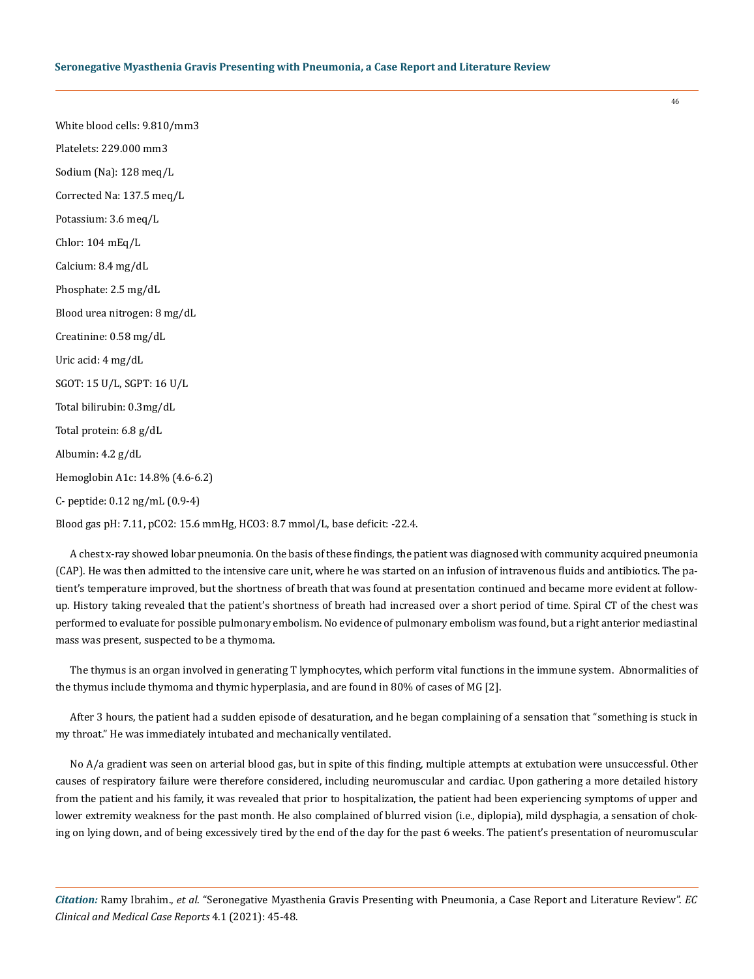White blood cells: 9.810/mm3 Platelets: 229.000 mm3 Sodium (Na): 128 meq/L Corrected Na: 137.5 meq/L Potassium: 3.6 meq/L Chlor: 104 mEq/L Calcium: 8.4 mg/dL Phosphate: 2.5 mg/dL Blood urea nitrogen: 8 mg/dL Creatinine: 0.58 mg/dL Uric acid: 4 mg/dL SGOT: 15 U/L, SGPT: 16 U/L Total bilirubin: 0.3mg/dL Total protein: 6.8 g/dL Albumin: 4.2 g/dL Hemoglobin A1c: 14.8% (4.6-6.2) C- peptide: 0.12 ng/mL (0.9-4) Blood gas pH: 7.11, pCO2: 15.6 mmHg, HCO3: 8.7 mmol/L, base deficit: -22.4.

A chest x-ray showed lobar pneumonia. On the basis of these findings, the patient was diagnosed with community acquired pneumonia (CAP). He was then admitted to the intensive care unit, where he was started on an infusion of intravenous fluids and antibiotics. The patient's temperature improved, but the shortness of breath that was found at presentation continued and became more evident at followup. History taking revealed that the patient's shortness of breath had increased over a short period of time. Spiral CT of the chest was performed to evaluate for possible pulmonary embolism. No evidence of pulmonary embolism was found, but a right anterior mediastinal mass was present, suspected to be a thymoma.

The thymus is an organ involved in generating T lymphocytes, which perform vital functions in the immune system. Abnormalities of the thymus include thymoma and thymic hyperplasia, and are found in 80% of cases of MG [2].

After 3 hours, the patient had a sudden episode of desaturation, and he began complaining of a sensation that "something is stuck in my throat." He was immediately intubated and mechanically ventilated.

No A/a gradient was seen on arterial blood gas, but in spite of this finding, multiple attempts at extubation were unsuccessful. Other causes of respiratory failure were therefore considered, including neuromuscular and cardiac. Upon gathering a more detailed history from the patient and his family, it was revealed that prior to hospitalization, the patient had been experiencing symptoms of upper and lower extremity weakness for the past month. He also complained of blurred vision (i.e., diplopia), mild dysphagia, a sensation of choking on lying down, and of being excessively tired by the end of the day for the past 6 weeks. The patient's presentation of neuromuscular

*Citation:* Ramy Ibrahim., *et al*. "Seronegative Myasthenia Gravis Presenting with Pneumonia, a Case Report and Literature Review". *EC Clinical and Medical Case Reports* 4.1 (2021): 45-48.

46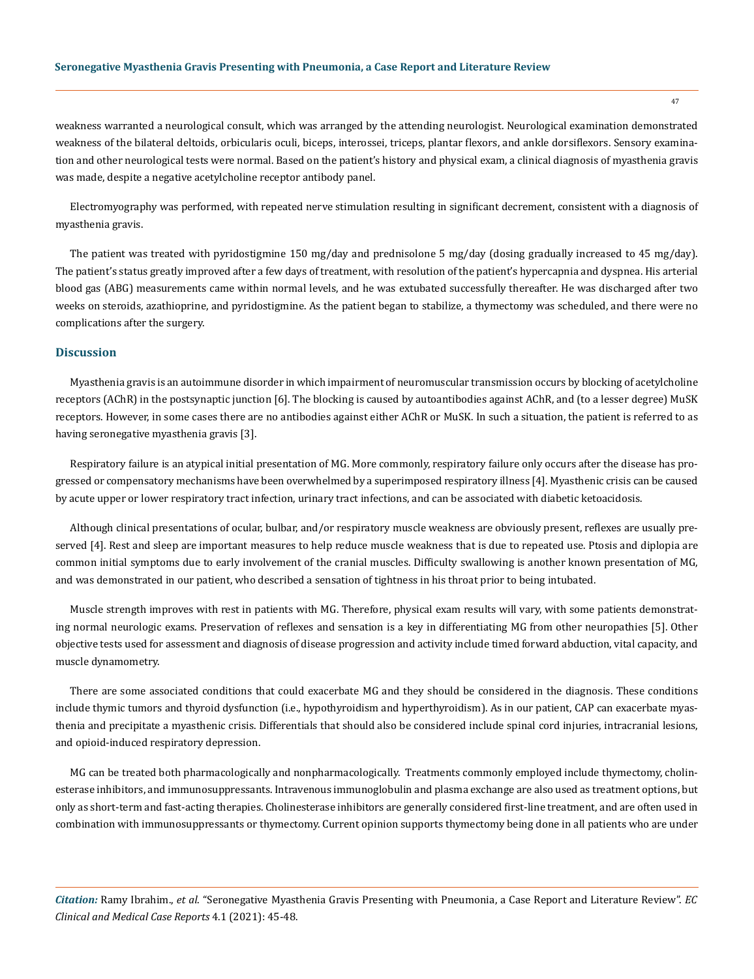weakness warranted a neurological consult, which was arranged by the attending neurologist. Neurological examination demonstrated weakness of the bilateral deltoids, orbicularis oculi, biceps, interossei, triceps, plantar flexors, and ankle dorsiflexors. Sensory examination and other neurological tests were normal. Based on the patient's history and physical exam, a clinical diagnosis of myasthenia gravis was made, despite a negative acetylcholine receptor antibody panel.

Electromyography was performed, with repeated nerve stimulation resulting in significant decrement, consistent with a diagnosis of myasthenia gravis.

The patient was treated with pyridostigmine 150 mg/day and prednisolone 5 mg/day (dosing gradually increased to 45 mg/day). The patient's status greatly improved after a few days of treatment, with resolution of the patient's hypercapnia and dyspnea. His arterial blood gas (ABG) measurements came within normal levels, and he was extubated successfully thereafter. He was discharged after two weeks on steroids, azathioprine, and pyridostigmine. As the patient began to stabilize, a thymectomy was scheduled, and there were no complications after the surgery.

### **Discussion**

Myasthenia gravis is an autoimmune disorder in which impairment of neuromuscular transmission occurs by blocking of acetylcholine receptors (AChR) in the postsynaptic junction [6]. The blocking is caused by autoantibodies against AChR, and (to a lesser degree) MuSK receptors. However, in some cases there are no antibodies against either AChR or MuSK. In such a situation, the patient is referred to as having seronegative myasthenia gravis [3].

Respiratory failure is an atypical initial presentation of MG. More commonly, respiratory failure only occurs after the disease has progressed or compensatory mechanisms have been overwhelmed by a superimposed respiratory illness [4]. Myasthenic crisis can be caused by acute upper or lower respiratory tract infection, urinary tract infections, and can be associated with diabetic ketoacidosis.

Although clinical presentations of ocular, bulbar, and/or respiratory muscle weakness are obviously present, reflexes are usually preserved [4]. Rest and sleep are important measures to help reduce muscle weakness that is due to repeated use. Ptosis and diplopia are common initial symptoms due to early involvement of the cranial muscles. Difficulty swallowing is another known presentation of MG, and was demonstrated in our patient, who described a sensation of tightness in his throat prior to being intubated.

Muscle strength improves with rest in patients with MG. Therefore, physical exam results will vary, with some patients demonstrating normal neurologic exams. Preservation of reflexes and sensation is a key in differentiating MG from other neuropathies [5]. Other objective tests used for assessment and diagnosis of disease progression and activity include timed forward abduction, vital capacity, and muscle dynamometry.

There are some associated conditions that could exacerbate MG and they should be considered in the diagnosis. These conditions include thymic tumors and thyroid dysfunction (i.e., hypothyroidism and hyperthyroidism). As in our patient, CAP can exacerbate myasthenia and precipitate a myasthenic crisis. Differentials that should also be considered include spinal cord injuries, intracranial lesions, and opioid-induced respiratory depression.

MG can be treated both pharmacologically and nonpharmacologically. Treatments commonly employed include thymectomy, cholinesterase inhibitors, and immunosuppressants. Intravenous immunoglobulin and plasma exchange are also used as treatment options, but only as short-term and fast-acting therapies. Cholinesterase inhibitors are generally considered first-line treatment, and are often used in combination with immunosuppressants or thymectomy. Current opinion supports thymectomy being done in all patients who are under

*Citation:* Ramy Ibrahim., *et al*. "Seronegative Myasthenia Gravis Presenting with Pneumonia, a Case Report and Literature Review". *EC Clinical and Medical Case Reports* 4.1 (2021): 45-48.

47